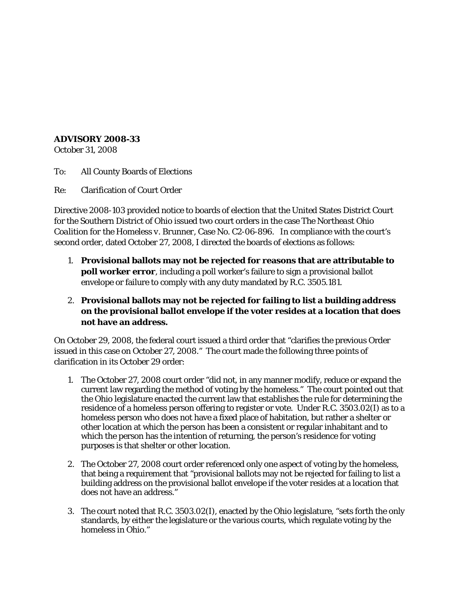## **ADVISORY 2008-33**

October 31, 2008

To: All County Boards of Elections

Re: Clarification of Court Order

Directive 2008-103 provided notice to boards of election that the United States District Court for the Southern District of Ohio issued two court orders in the case *The Northeast Ohio Coalition for the Homeless v. Brunner*, Case No. C2-06-896. In compliance with the court's second order, dated October 27, 2008, I directed the boards of elections as follows:

- 1. **Provisional ballots may not be rejected for reasons that are attributable to poll worker error**, including a poll worker's failure to sign a provisional ballot envelope or failure to comply with any duty mandated by R.C. 3505.181.
- 2. **Provisional ballots may not be rejected for failing to list a building address on the provisional ballot envelope if the voter resides at a location that does not have an address.**

On October 29, 2008, the federal court issued a third order that "clarifies the previous Order issued in this case on October 27, 2008." The court made the following three points of clarification in its October 29 order:

- 1. The October 27, 2008 court order "did not, in any manner modify, reduce or expand the current law regarding the method of voting by the homeless." The court pointed out that the Ohio legislature enacted the current law that establishes the rule for determining the residence of a homeless person offering to register or vote. Under R.C. 3503.02(I) as to a homeless person who does not have a fixed place of habitation, but rather a shelter or other location at which the person has been a consistent or regular inhabitant and to which the person has the intention of returning, the person's residence for voting purposes is that shelter or other location.
- 2. The October 27, 2008 court order referenced only one aspect of voting by the homeless, that being a requirement that "provisional ballots may not be rejected for failing to list a building address on the provisional ballot envelope if the voter resides at a location that does not have an address."
- 3. The court noted that R.C. 3503.02(I), enacted by the Ohio legislature, "sets forth the only standards, by either the legislature or the various courts, which regulate voting by the homeless in Ohio."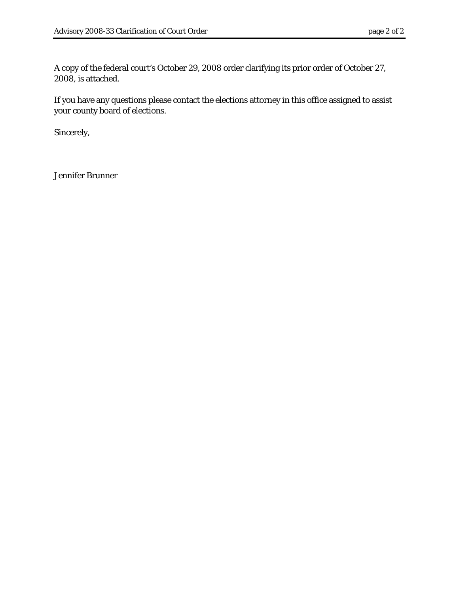A copy of the federal court's October 29, 2008 order clarifying its prior order of October 27, 2008, is attached.

If you have any questions please contact the elections attorney in this office assigned to assist your county board of elections.

Sincerely,

Jennifer Brunner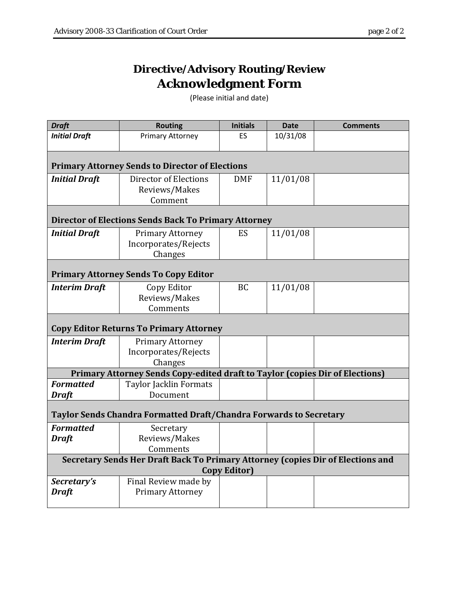## **Directive/Advisory Routing/Review Acknowledgment Form**

(Please initial and date)

| <b>Draft</b>                                                                    | <b>Routing</b>                | <b>Initials</b> | <b>Date</b> | <b>Comments</b> |  |  |  |
|---------------------------------------------------------------------------------|-------------------------------|-----------------|-------------|-----------------|--|--|--|
| <b>Initial Draft</b>                                                            | Primary Attorney              | ES              | 10/31/08    |                 |  |  |  |
|                                                                                 |                               |                 |             |                 |  |  |  |
| <b>Primary Attorney Sends to Director of Elections</b>                          |                               |                 |             |                 |  |  |  |
| <b>Initial Draft</b>                                                            | Director of Elections         | <b>DMF</b>      | 11/01/08    |                 |  |  |  |
|                                                                                 | Reviews/Makes                 |                 |             |                 |  |  |  |
|                                                                                 | Comment                       |                 |             |                 |  |  |  |
| <b>Director of Elections Sends Back To Primary Attorney</b>                     |                               |                 |             |                 |  |  |  |
| <b>Initial Draft</b>                                                            | <b>Primary Attorney</b>       | ES              | 11/01/08    |                 |  |  |  |
|                                                                                 | Incorporates/Rejects          |                 |             |                 |  |  |  |
|                                                                                 | Changes                       |                 |             |                 |  |  |  |
| <b>Primary Attorney Sends To Copy Editor</b>                                    |                               |                 |             |                 |  |  |  |
| <b>Interim Draft</b>                                                            | Copy Editor                   | <b>BC</b>       | 11/01/08    |                 |  |  |  |
|                                                                                 | Reviews/Makes                 |                 |             |                 |  |  |  |
|                                                                                 | Comments                      |                 |             |                 |  |  |  |
| <b>Copy Editor Returns To Primary Attorney</b>                                  |                               |                 |             |                 |  |  |  |
| <b>Interim Draft</b>                                                            | Primary Attorney              |                 |             |                 |  |  |  |
|                                                                                 | Incorporates/Rejects          |                 |             |                 |  |  |  |
|                                                                                 | Changes                       |                 |             |                 |  |  |  |
| Primary Attorney Sends Copy-edited draft to Taylor (copies Dir of Elections)    |                               |                 |             |                 |  |  |  |
| <b>Formatted</b>                                                                | <b>Taylor Jacklin Formats</b> |                 |             |                 |  |  |  |
| <b>Draft</b>                                                                    | Document                      |                 |             |                 |  |  |  |
| Taylor Sends Chandra Formatted Draft/Chandra Forwards to Secretary              |                               |                 |             |                 |  |  |  |
| <b>Formatted</b>                                                                | Secretary                     |                 |             |                 |  |  |  |
| <b>Draft</b>                                                                    | Reviews/Makes                 |                 |             |                 |  |  |  |
|                                                                                 | Comments                      |                 |             |                 |  |  |  |
| Secretary Sends Her Draft Back To Primary Attorney (copies Dir of Elections and |                               |                 |             |                 |  |  |  |
| <b>Copy Editor)</b>                                                             |                               |                 |             |                 |  |  |  |
| Secretary's                                                                     | Final Review made by          |                 |             |                 |  |  |  |
| <b>Draft</b>                                                                    | <b>Primary Attorney</b>       |                 |             |                 |  |  |  |
|                                                                                 |                               |                 |             |                 |  |  |  |